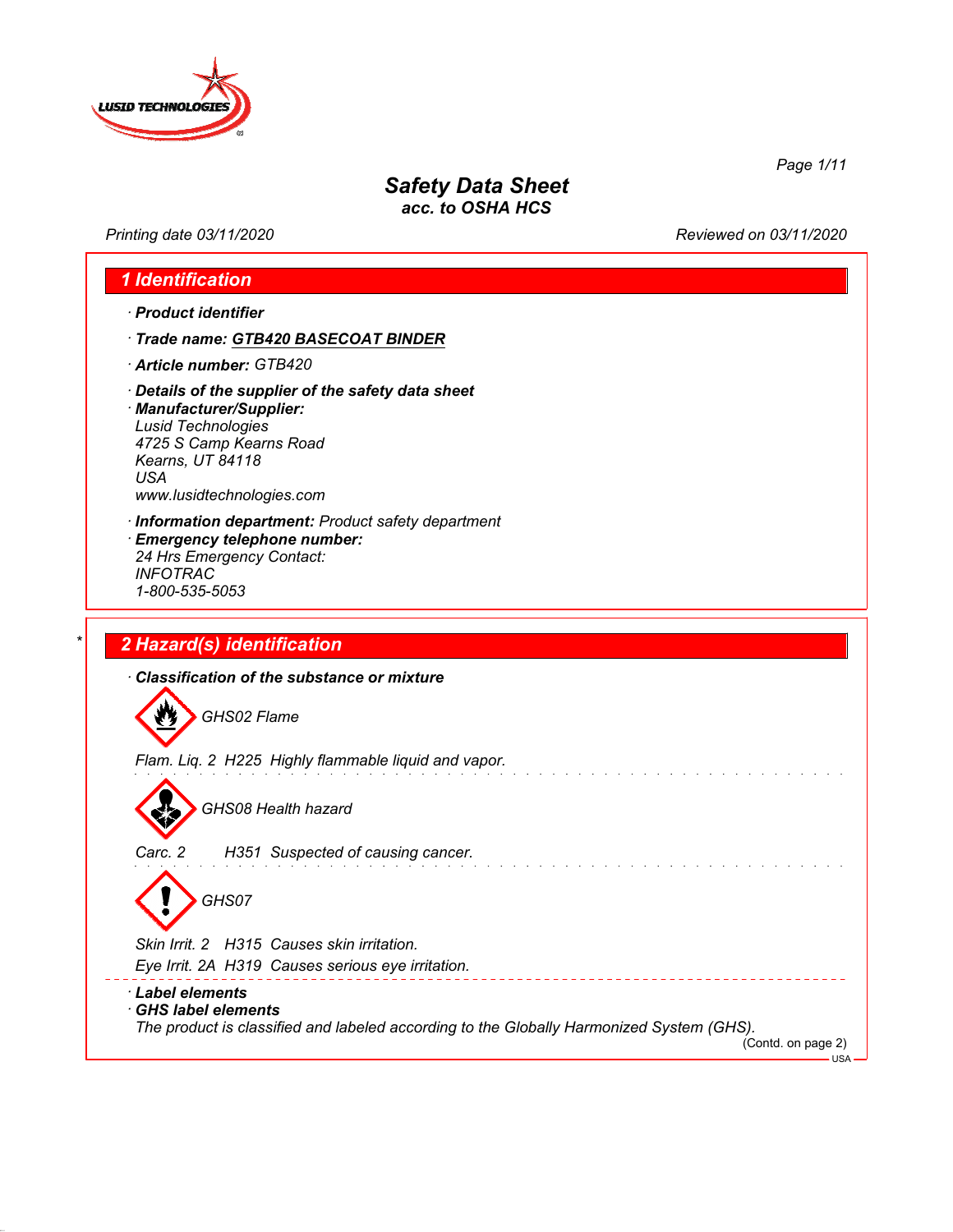

*Printing date 03/11/2020 Reviewed on 03/11/2020*

*Page 1/11*

# *1 Identification*

- *· Product identifier*
- *· Trade name: GTB420 BASECOAT BINDER*
- *· Article number: GTB420*
- *· Details of the supplier of the safety data sheet*

*· Manufacturer/Supplier: Lusid Technologies 4725 S Camp Kearns Road Kearns, UT 84118 USA www.lusidtechnologies.com*

*· Information department: Product safety department · Emergency telephone number: 24 Hrs Emergency Contact: INFOTRAC*

# *\* 2 Hazard(s) identification*

*1-800-535-5053*

*· Classification of the substance or mixture*  $\boldsymbol{w}$ *GHS02 Flame Flam. Liq. 2 H225 Highly flammable liquid and vapor. GHS08 Health hazard Carc. 2 H351 Suspected of causing cancer.*

*GHS07*

*Skin Irrit. 2 H315 Causes skin irritation.*

*Eye Irrit. 2A H319 Causes serious eye irritation.*

*· Label elements*

*· GHS label elements The product is classified and labeled according to the Globally Harmonized System (GHS).*

(Contd. on page 2)  $-t$ <sub>USA</sub>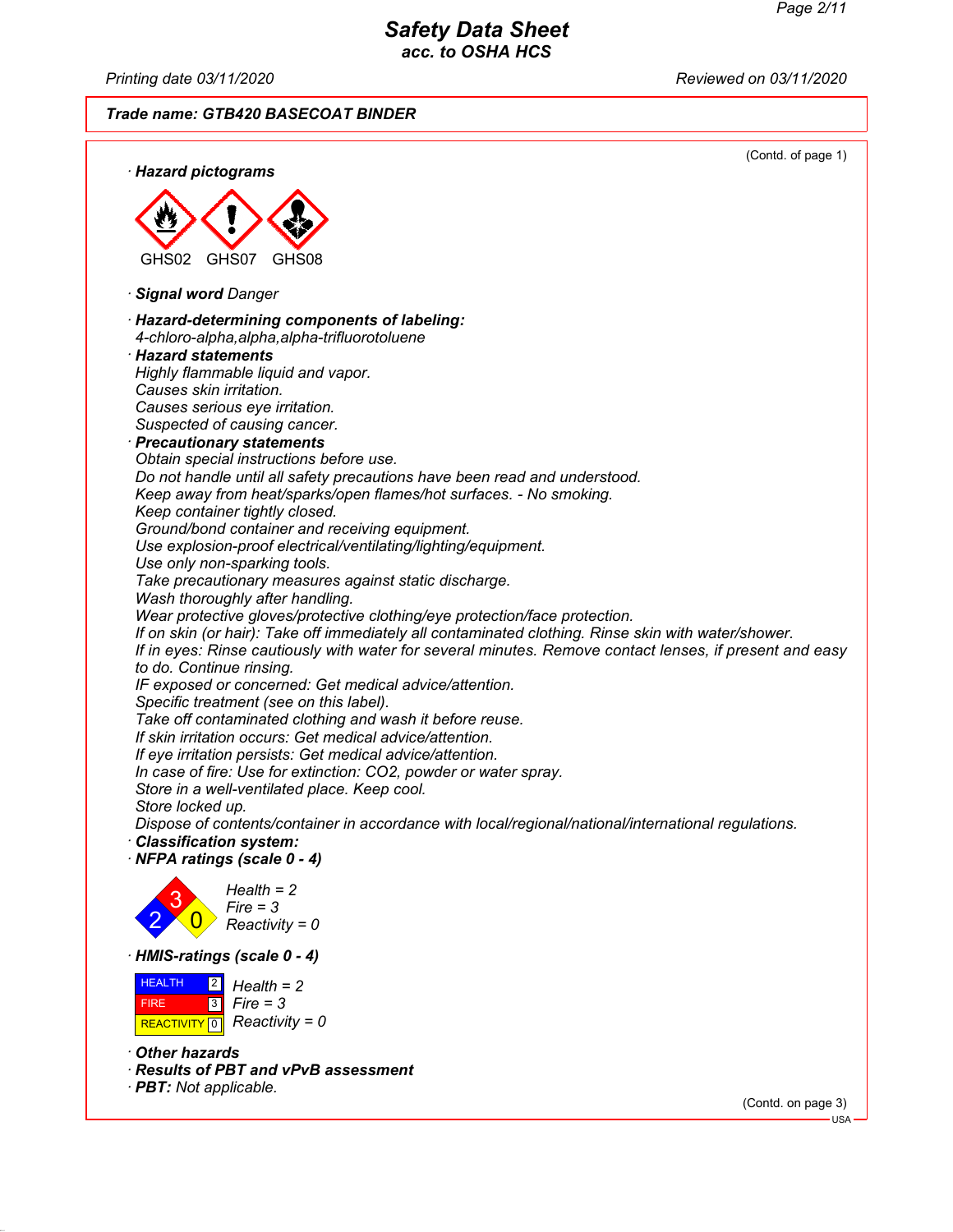*Printing date 03/11/2020 Reviewed on 03/11/2020*

*Trade name: GTB420 BASECOAT BINDER*



*· Other hazards*

- *· Results of PBT and vPvB assessment*
- *· PBT: Not applicable.*

(Contd. on page 3) USA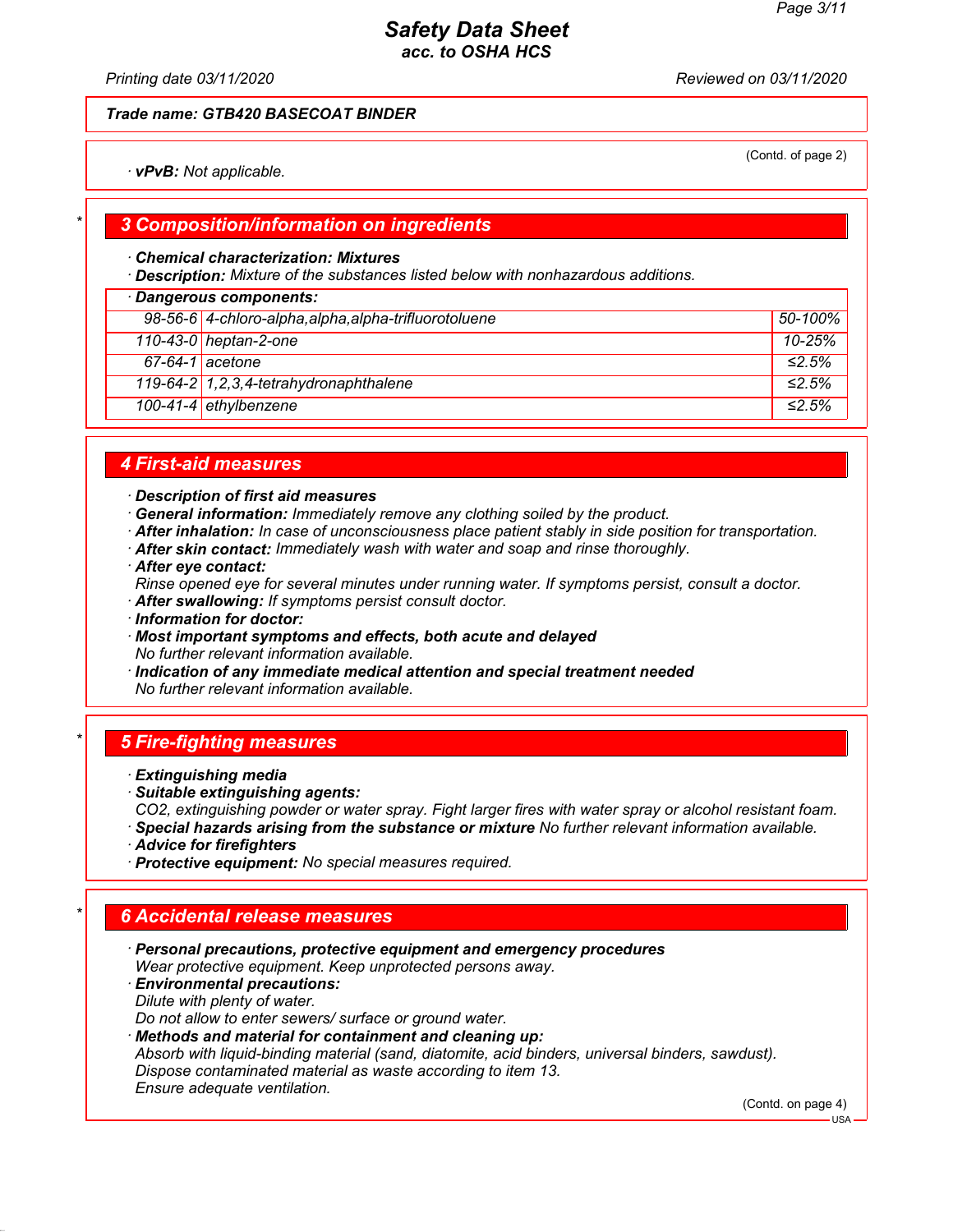(Contd. of page 2)

# *Safety Data Sheet acc. to OSHA HCS*

*Printing date 03/11/2020 Reviewed on 03/11/2020*

## *Trade name: GTB420 BASECOAT BINDER*

*· vPvB: Not applicable.*

## *\* 3 Composition/information on ingredients*

#### *· Chemical characterization: Mixtures*

*· Description: Mixture of the substances listed below with nonhazardous additions.*

| · Dangerous components: |                                                       |              |  |
|-------------------------|-------------------------------------------------------|--------------|--|
|                         | 98-56-6 4-chloro-alpha, alpha, alpha-trifluorotoluene | 50-100%      |  |
|                         | 110-43-0 heptan-2-one                                 | $10 - 25%$   |  |
| $67-64-1$ acetone       |                                                       | $\leq 2.5\%$ |  |
|                         | 119-64-2 1, 2, 3, 4-tetrahydronaphthalene             | $\leq 2.5\%$ |  |
|                         | 100-41-4 ethylbenzene                                 | ≤2.5%        |  |

## *4 First-aid measures*

- *· Description of first aid measures*
- *· General information: Immediately remove any clothing soiled by the product.*
- *· After inhalation: In case of unconsciousness place patient stably in side position for transportation.*
- *· After skin contact: Immediately wash with water and soap and rinse thoroughly.*
- *· After eye contact:*
- *Rinse opened eye for several minutes under running water. If symptoms persist, consult a doctor.*
- *· After swallowing: If symptoms persist consult doctor.*
- *· Information for doctor:*
- *· Most important symptoms and effects, both acute and delayed No further relevant information available.*
- *· Indication of any immediate medical attention and special treatment needed No further relevant information available.*

#### *\* 5 Fire-fighting measures*

- *· Extinguishing media*
- *· Suitable extinguishing agents:*
- *CO2, extinguishing powder or water spray. Fight larger fires with water spray or alcohol resistant foam.*
- *· Special hazards arising from the substance or mixture No further relevant information available.*
- *· Advice for firefighters*
- *· Protective equipment: No special measures required.*

# *\* 6 Accidental release measures*

*· Personal precautions, protective equipment and emergency procedures Wear protective equipment. Keep unprotected persons away.*

*· Environmental precautions: Dilute with plenty of water.*

*Do not allow to enter sewers/ surface or ground water.*

*· Methods and material for containment and cleaning up: Absorb with liquid-binding material (sand, diatomite, acid binders, universal binders, sawdust). Dispose contaminated material as waste according to item 13. Ensure adequate ventilation.*

(Contd. on page 4)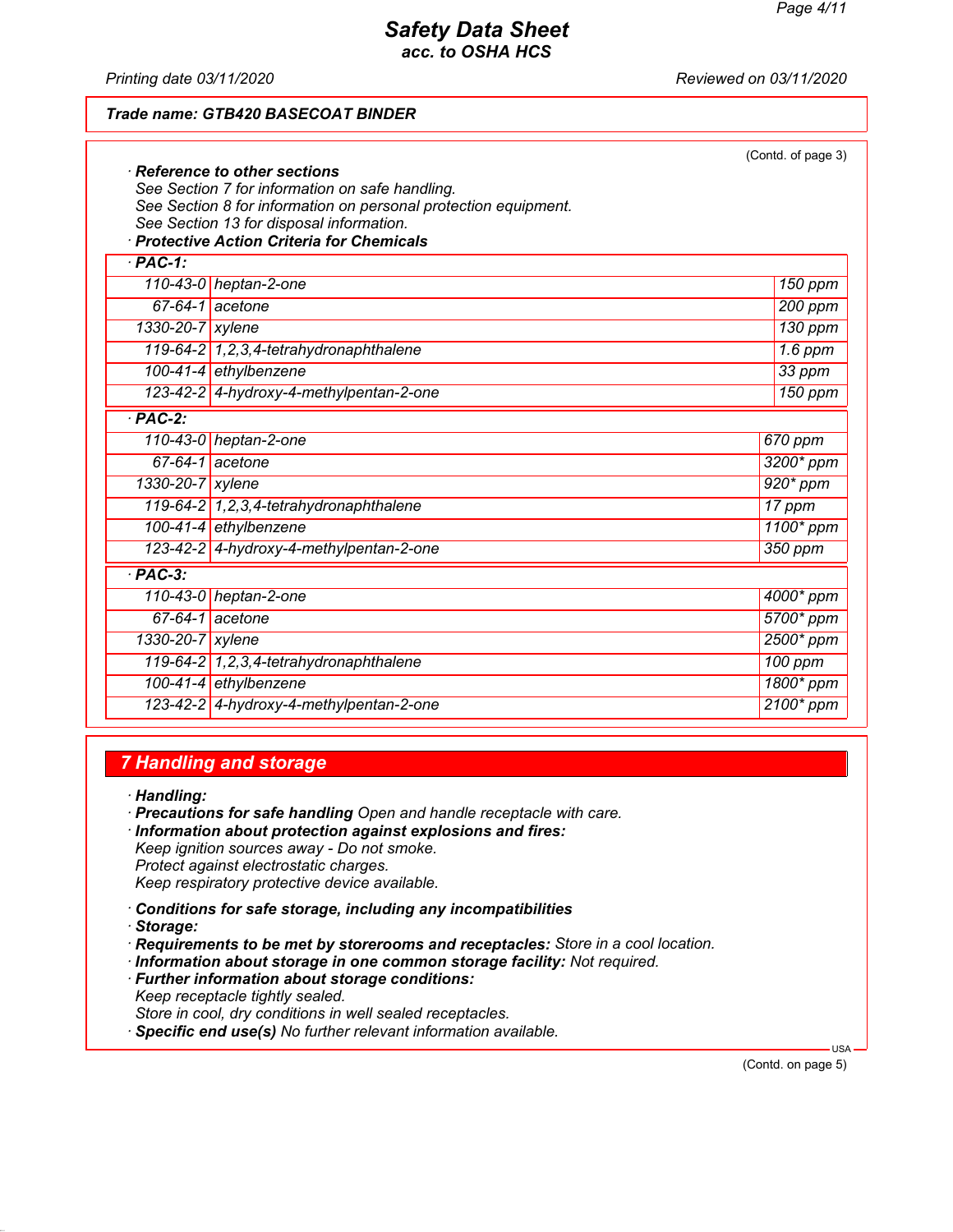*Printing date 03/11/2020 Reviewed on 03/11/2020*

### *Trade name: GTB420 BASECOAT BINDER*

|                    |                                                                                                             | (Contd. of page 3) |
|--------------------|-------------------------------------------------------------------------------------------------------------|--------------------|
|                    | $\cdot$ Reference to other sections                                                                         |                    |
|                    | See Section 7 for information on safe handling.                                                             |                    |
|                    | See Section 8 for information on personal protection equipment.<br>See Section 13 for disposal information. |                    |
|                    | · Protective Action Criteria for Chemicals                                                                  |                    |
| $\overline{PAC-1}$ |                                                                                                             |                    |
|                    | 110-43-0 heptan-2-one                                                                                       | 150 ppm            |
|                    | $67-64-1$ acetone                                                                                           | 200 ppm            |
| 1330-20-7 xylene   |                                                                                                             | 130 ppm            |
|                    | 119-64-2 1, 2, 3, 4-tetrahydronaphthalene                                                                   | $1.6$ ppm          |
|                    | 100-41-4 ethylbenzene                                                                                       | $33$ ppm           |
|                    | 123-42-2 4-hydroxy-4-methylpentan-2-one                                                                     | 150 ppm            |
| $·$ PAC-2:         |                                                                                                             |                    |
|                    | 110-43-0 heptan-2-one                                                                                       | 670 ppm            |
|                    | $67-64-1$ acetone                                                                                           | 3200* ppm          |
| 1330-20-7 xylene   |                                                                                                             | 920* ppm           |
|                    | 119-64-2 1, 2, 3, 4-tetrahydronaphthalene                                                                   | 17 ppm             |
|                    | 100-41-4 ethylbenzene                                                                                       | 1100* ppm          |
|                    | 123-42-2 4-hydroxy-4-methylpentan-2-one                                                                     | 350 ppm            |
| $·$ PAC-3:         |                                                                                                             |                    |
|                    | 110-43-0 heptan-2-one                                                                                       | 4000* ppm          |
|                    | $67-64-1$ acetone                                                                                           | 5700* ppm          |
| 1330-20-7 xylene   |                                                                                                             | 2500* ppm          |
|                    | 119-64-2 1, 2, 3, 4-tetrahydronaphthalene                                                                   | 100 ppm            |
|                    | 100-41-4 ethylbenzene                                                                                       | 1800* ppm          |
|                    | 123-42-2 4-hydroxy-4-methylpentan-2-one                                                                     | 2100* ppm          |

## *7 Handling and storage*

*· Handling:*

- *· Precautions for safe handling Open and handle receptacle with care.*
- *· Information about protection against explosions and fires: Keep ignition sources away - Do not smoke. Protect against electrostatic charges.*

*Keep respiratory protective device available.*

- *· Conditions for safe storage, including any incompatibilities*
- *· Storage:*
- *· Requirements to be met by storerooms and receptacles: Store in a cool location.*
- *· Information about storage in one common storage facility: Not required.*
- *· Further information about storage conditions: Keep receptacle tightly sealed. Store in cool, dry conditions in well sealed receptacles.*
- *· Specific end use(s) No further relevant information available.*

(Contd. on page 5)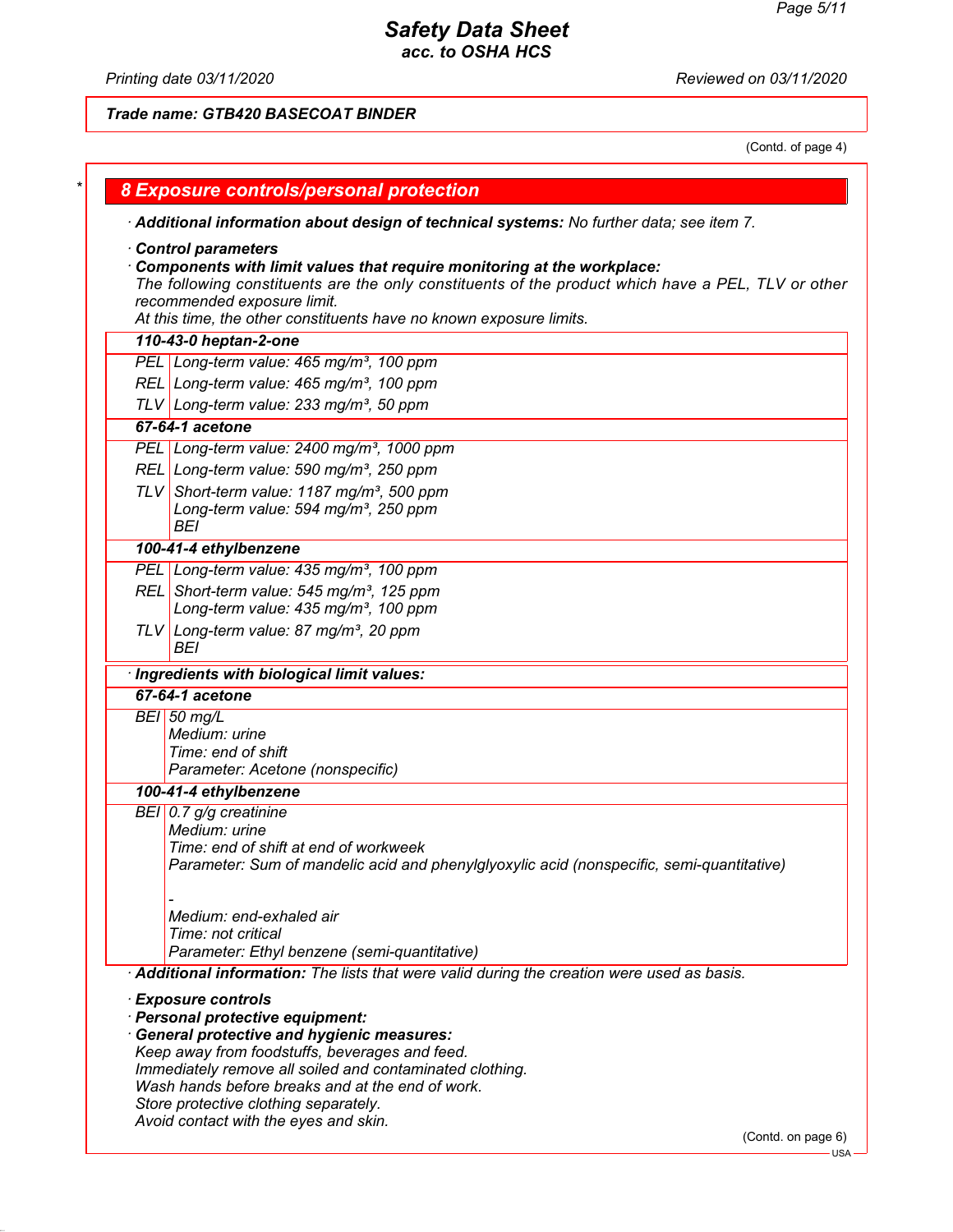# *Safety Data Sheet*

*acc. to OSHA HCS*

*Printing date 03/11/2020 Reviewed on 03/11/2020*

*Trade name: GTB420 BASECOAT BINDER*

(Contd. of page 4)

| · Additional information about design of technical systems: No further data; see item 7.           |
|----------------------------------------------------------------------------------------------------|
| Control parameters                                                                                 |
| Components with limit values that require monitoring at the workplace:                             |
| The following constituents are the only constituents of the product which have a PEL, TLV or other |
| recommended exposure limit.                                                                        |
| At this time, the other constituents have no known exposure limits.                                |
| 110-43-0 heptan-2-one                                                                              |
| PEL Long-term value: 465 mg/m <sup>3</sup> , 100 ppm                                               |
| REL Long-term value: 465 mg/m <sup>3</sup> , 100 ppm                                               |
| TLV Long-term value: 233 mg/m <sup>3</sup> , 50 ppm                                                |
| 67-64-1 acetone                                                                                    |
| PEL Long-term value: 2400 mg/m <sup>3</sup> , 1000 ppm                                             |
| REL Long-term value: 590 mg/m <sup>3</sup> , 250 ppm                                               |
| TLV Short-term value: 1187 mg/m <sup>3</sup> , 500 ppm                                             |
| Long-term value: 594 mg/m <sup>3</sup> , 250 ppm                                                   |
| <b>BEI</b>                                                                                         |
| 100-41-4 ethylbenzene                                                                              |
| PEL Long-term value: 435 mg/m <sup>3</sup> , 100 ppm                                               |
| REL Short-term value: 545 mg/m <sup>3</sup> , 125 ppm                                              |
| Long-term value: 435 mg/m <sup>3</sup> , 100 ppm                                                   |
| TLV Long-term value: 87 mg/m <sup>3</sup> , 20 ppm                                                 |
| BEI                                                                                                |
| · Ingredients with biological limit values:                                                        |
| 67-64-1 acetone                                                                                    |
| $BEI$ 50 mg/L                                                                                      |
| Medium: urine                                                                                      |
| Time: end of shift                                                                                 |
| Parameter: Acetone (nonspecific)                                                                   |
| 100-41-4 ethylbenzene                                                                              |
| BEI 0.7 g/g creatinine                                                                             |
| Medium: urine                                                                                      |
| Time: end of shift at end of workweek                                                              |
| Parameter: Sum of mandelic acid and phenylglyoxylic acid (nonspecific, semi-quantitative)          |
|                                                                                                    |
| Medium: end-exhaled air                                                                            |
| Time: not critical                                                                                 |
| Parameter: Ethyl benzene (semi-quantitative)                                                       |
| Additional information: The lists that were valid during the creation were used as basis.          |
| <b>Exposure controls</b>                                                                           |
| · Personal protective equipment:                                                                   |
| <b>General protective and hygienic measures:</b>                                                   |
| Keep away from foodstuffs, beverages and feed.                                                     |
| Immediately remove all soiled and contaminated clothing.                                           |
| Wash hands before breaks and at the end of work.                                                   |
| Store protective clothing separately.<br>Avoid contact with the eyes and skin.                     |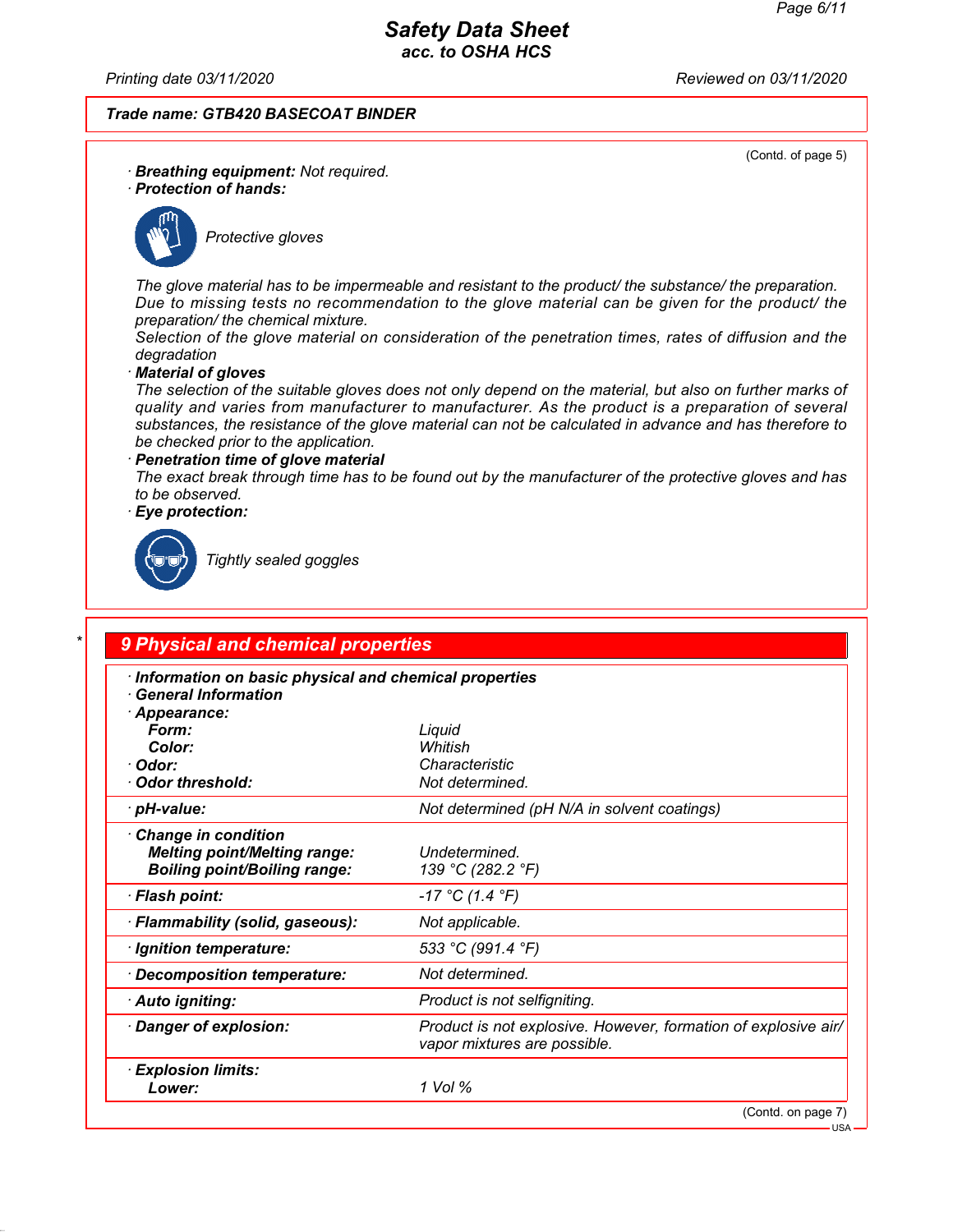*Printing date 03/11/2020 Reviewed on 03/11/2020*

## *Trade name: GTB420 BASECOAT BINDER*

(Contd. of page 5)

- *· Breathing equipment: Not required.*
- *· Protection of hands:*



*Protective gloves*

*The glove material has to be impermeable and resistant to the product/ the substance/ the preparation. Due to missing tests no recommendation to the glove material can be given for the product/ the preparation/ the chemical mixture.*

*Selection of the glove material on consideration of the penetration times, rates of diffusion and the degradation*

#### *· Material of gloves*

*The selection of the suitable gloves does not only depend on the material, but also on further marks of quality and varies from manufacturer to manufacturer. As the product is a preparation of several substances, the resistance of the glove material can not be calculated in advance and has therefore to be checked prior to the application.*

#### *· Penetration time of glove material*

*The exact break through time has to be found out by the manufacturer of the protective gloves and has to be observed.*

*· Eye protection:*



*Tightly sealed goggles*

| · Information on basic physical and chemical properties<br><b>General Information</b> |                                                                                                |
|---------------------------------------------------------------------------------------|------------------------------------------------------------------------------------------------|
| · Appearance:                                                                         |                                                                                                |
| Form:                                                                                 | Liquid                                                                                         |
| Color:                                                                                | Whitish                                                                                        |
| · Odor:                                                                               | Characteristic                                                                                 |
| Odor threshold:                                                                       | Not determined.                                                                                |
| · pH-value:                                                                           | Not determined (pH N/A in solvent coatings)                                                    |
| Change in condition                                                                   |                                                                                                |
| <b>Melting point/Melting range:</b>                                                   | Undetermined.                                                                                  |
| <b>Boiling point/Boiling range:</b>                                                   | 139 °C (282.2 °F)                                                                              |
| · Flash point:                                                                        | $-17 °C (1.4 °F)$                                                                              |
| · Flammability (solid, gaseous):                                                      | Not applicable.                                                                                |
| · Ignition temperature:                                                               | 533 °C (991.4 °F)                                                                              |
| Decomposition temperature:                                                            | Not determined.                                                                                |
| · Auto igniting:                                                                      | Product is not selfigniting.                                                                   |
| Danger of explosion:                                                                  | Product is not explosive. However, formation of explosive air/<br>vapor mixtures are possible. |
| · Explosion limits:                                                                   | 1 Vol %                                                                                        |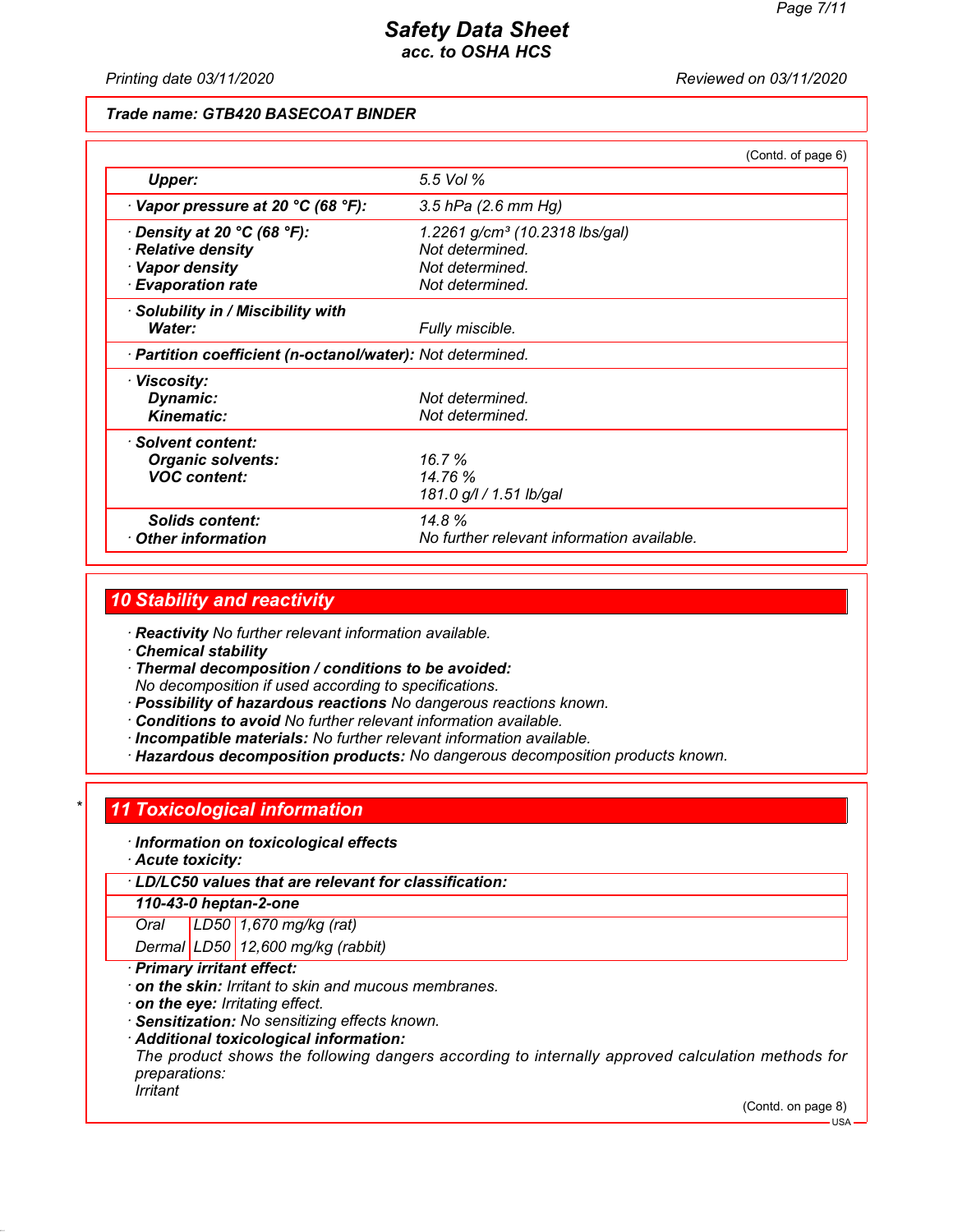#### *Printing date 03/11/2020 Reviewed on 03/11/2020*

## *Trade name: GTB420 BASECOAT BINDER*

|                                                            |                                            | (Contd. of page 6) |
|------------------------------------------------------------|--------------------------------------------|--------------------|
| <b>Upper:</b>                                              | 5.5 Vol %                                  |                    |
| $\cdot$ Vapor pressure at 20 °C (68 °F):                   | 3.5 hPa (2.6 mm Hg)                        |                    |
| $\cdot$ Density at 20 °C (68 °F):                          | 1.2261 g/cm <sup>3</sup> (10.2318 lbs/gal) |                    |
| · Relative density                                         | Not determined.                            |                    |
| · Vapor density                                            | Not determined.                            |                    |
| <b>Evaporation rate</b>                                    | Not determined.                            |                    |
| · Solubility in / Miscibility with                         |                                            |                    |
| Water:                                                     | Fully miscible.                            |                    |
| · Partition coefficient (n-octanol/water): Not determined. |                                            |                    |
| · Viscosity:                                               |                                            |                    |
| Dynamic:                                                   | Not determined.                            |                    |
| <b>Kinematic:</b>                                          | Not determined.                            |                    |
| · Solvent content:                                         |                                            |                    |
| <b>Organic solvents:</b>                                   | 16.7%                                      |                    |
| <b>VOC content:</b>                                        | 14.76 %                                    |                    |
|                                                            | 181.0 g/l / 1.51 lb/gal                    |                    |
| <b>Solids content:</b>                                     | 14.8%                                      |                    |
| $\cdot$ Other information                                  | No further relevant information available. |                    |

## *10 Stability and reactivity*

*· Reactivity No further relevant information available.*

*· Chemical stability*

*· Thermal decomposition / conditions to be avoided: No decomposition if used according to specifications.*

- *· Possibility of hazardous reactions No dangerous reactions known.*
- *· Conditions to avoid No further relevant information available.*
- *· Incompatible materials: No further relevant information available.*
- *· Hazardous decomposition products: No dangerous decomposition products known.*

## *\* 11 Toxicological information*

- *· Information on toxicological effects*
- *· Acute toxicity:*

*· LD/LC50 values that are relevant for classification:*

#### *110-43-0 heptan-2-one*

*Oral LD50 1,670 mg/kg (rat)*

*Dermal LD50 12,600 mg/kg (rabbit)*

- *· Primary irritant effect:*
- *· on the skin: Irritant to skin and mucous membranes.*
- *· on the eye: Irritating effect.*
- *· Sensitization: No sensitizing effects known.*
- *· Additional toxicological information:*

*The product shows the following dangers according to internally approved calculation methods for preparations:*

*Irritant*

(Contd. on page 8) USA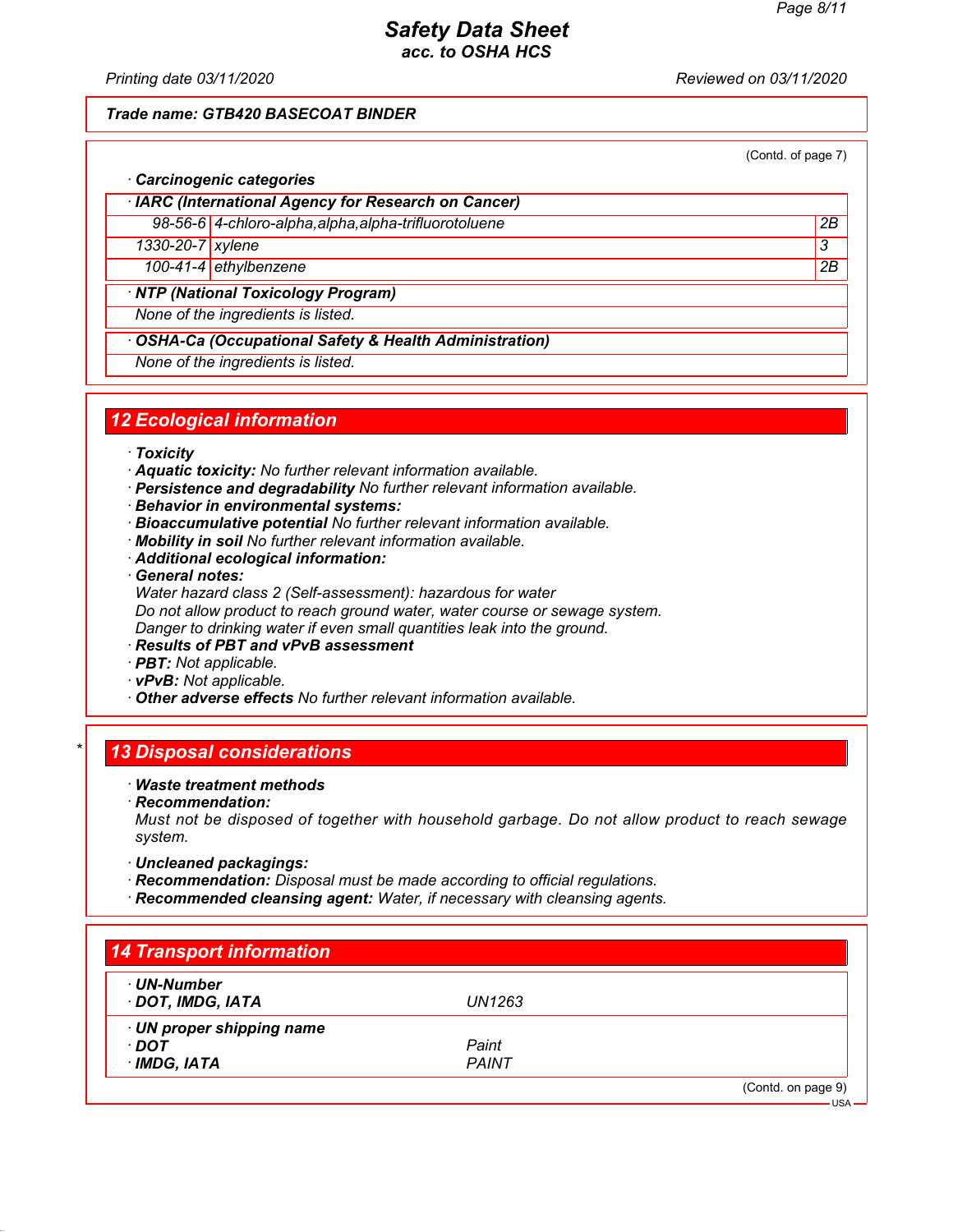*Printing date 03/11/2020 Reviewed on 03/11/2020*

## *Trade name: GTB420 BASECOAT BINDER*

(Contd. of page 7)

## *· Carcinogenic categories*

*· IARC (International Agency for Research on Cancer) 98-56-6 4-chloro-alpha,alpha,alpha-trifluorotoluene 2B*

*1330-20-7 xylene 3* 

*100-41-4 ethylbenzene 2B*

## *· NTP (National Toxicology Program)*

*None of the ingredients is listed.*

#### *· OSHA-Ca (Occupational Safety & Health Administration)*

*None of the ingredients is listed.*

# *12 Ecological information*

- *· Toxicity*
- *· Aquatic toxicity: No further relevant information available.*
- *· Persistence and degradability No further relevant information available.*
- *· Behavior in environmental systems:*
- *· Bioaccumulative potential No further relevant information available.*
- *· Mobility in soil No further relevant information available.*
- *· Additional ecological information:*
- *· General notes:*
- *Water hazard class 2 (Self-assessment): hazardous for water Do not allow product to reach ground water, water course or sewage system.*

*Danger to drinking water if even small quantities leak into the ground.*

- *· Results of PBT and vPvB assessment*
- *· PBT: Not applicable.*
- *· vPvB: Not applicable.*
- *· Other adverse effects No further relevant information available.*

## *\* 13 Disposal considerations*

#### *· Waste treatment methods*

*· Recommendation:*

*Must not be disposed of together with household garbage. Do not allow product to reach sewage system.*

- *· Uncleaned packagings:*
- *· Recommendation: Disposal must be made according to official regulations.*
- *· Recommended cleansing agent: Water, if necessary with cleansing agents.*

| · UN-Number               |              |  |
|---------------------------|--------------|--|
| · DOT, IMDG, IATA         | UN1263       |  |
| · UN proper shipping name |              |  |
| · DOT                     | Paint        |  |
| · IMDG, IATA              | <b>PAINT</b> |  |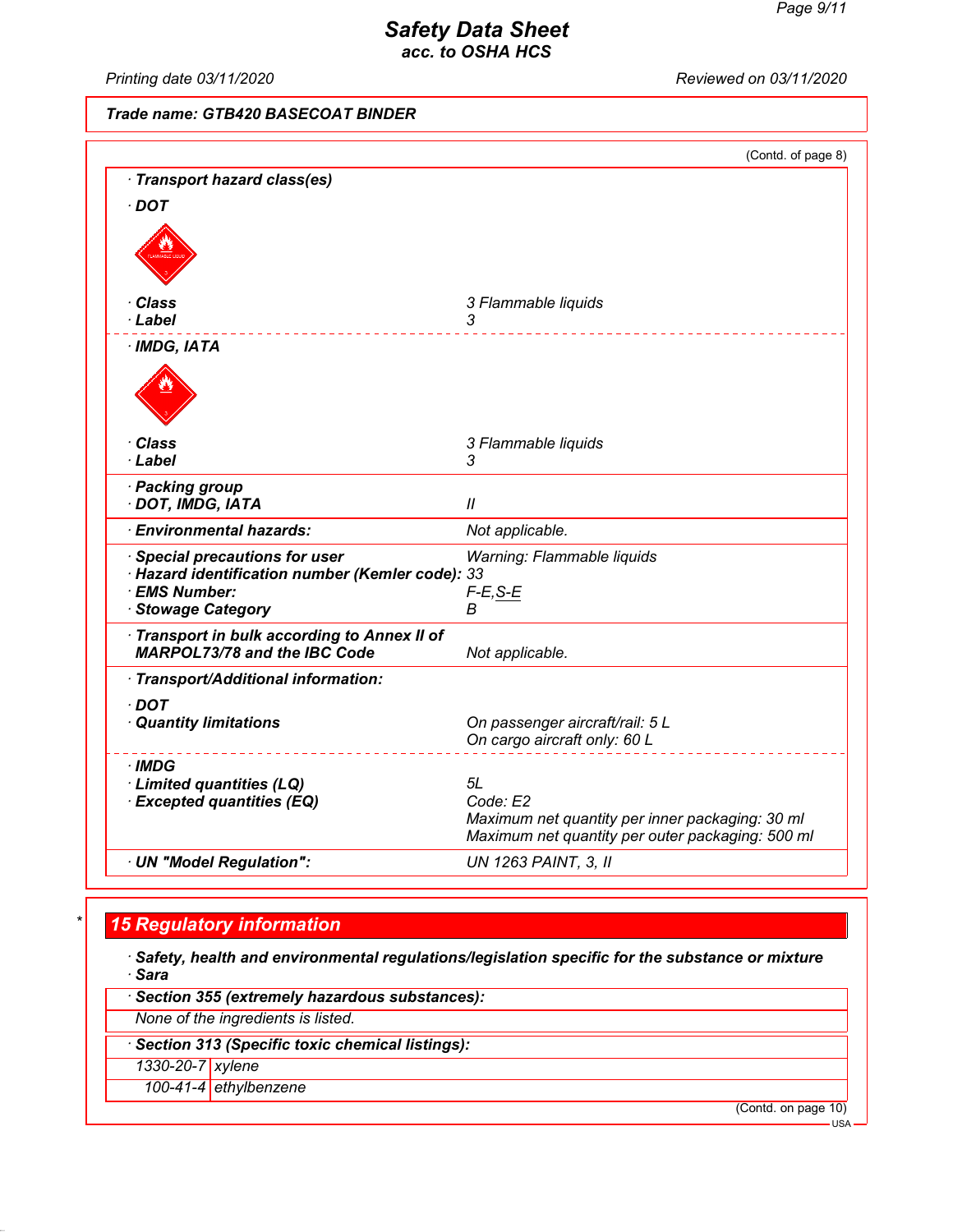*Printing date 03/11/2020 Reviewed on 03/11/2020*

# *Trade name: GTB420 BASECOAT BINDER*

|                                                                                                                                | (Contd. of page 8)                                                                                              |
|--------------------------------------------------------------------------------------------------------------------------------|-----------------------------------------------------------------------------------------------------------------|
| · Transport hazard class(es)                                                                                                   |                                                                                                                 |
| $\cdot$ DOT                                                                                                                    |                                                                                                                 |
|                                                                                                                                |                                                                                                                 |
| · Class                                                                                                                        | 3 Flammable liquids                                                                                             |
| · Label                                                                                                                        | 3                                                                                                               |
| $·$ IMDG, IATA                                                                                                                 |                                                                                                                 |
|                                                                                                                                |                                                                                                                 |
| · Class                                                                                                                        | 3 Flammable liquids                                                                                             |
| · Label                                                                                                                        | 3                                                                                                               |
| · Packing group<br>· DOT, IMDG, IATA                                                                                           | $\mathcal{U}$                                                                                                   |
| · Environmental hazards:                                                                                                       | Not applicable.                                                                                                 |
| <b>Special precautions for user</b><br>· Hazard identification number (Kemler code): 33<br>· EMS Number:<br>· Stowage Category | Warning: Flammable liquids<br>$F-E, S-E$<br>В                                                                   |
| Transport in bulk according to Annex II of<br><b>MARPOL73/78 and the IBC Code</b>                                              | Not applicable.                                                                                                 |
| · Transport/Additional information:                                                                                            |                                                                                                                 |
| $\cdot$ DOT<br>· Quantity limitations                                                                                          | On passenger aircraft/rail: 5 L<br>On cargo aircraft only: 60 L                                                 |
| ∙IMDG                                                                                                                          |                                                                                                                 |
| · Limited quantities (LQ)                                                                                                      | 5L                                                                                                              |
| · Excepted quantities (EQ)                                                                                                     | Code: E2<br>Maximum net quantity per inner packaging: 30 ml<br>Maximum net quantity per outer packaging: 500 ml |
|                                                                                                                                |                                                                                                                 |

# *\* 15 Regulatory information*

*· Safety, health and environmental regulations/legislation specific for the substance or mixture · Sara*

*· Section 355 (extremely hazardous substances):*

*None of the ingredients is listed.*

*· Section 313 (Specific toxic chemical listings):*

*1330-20-7 xylene*

*100-41-4 ethylbenzene*

(Contd. on page 10)

USA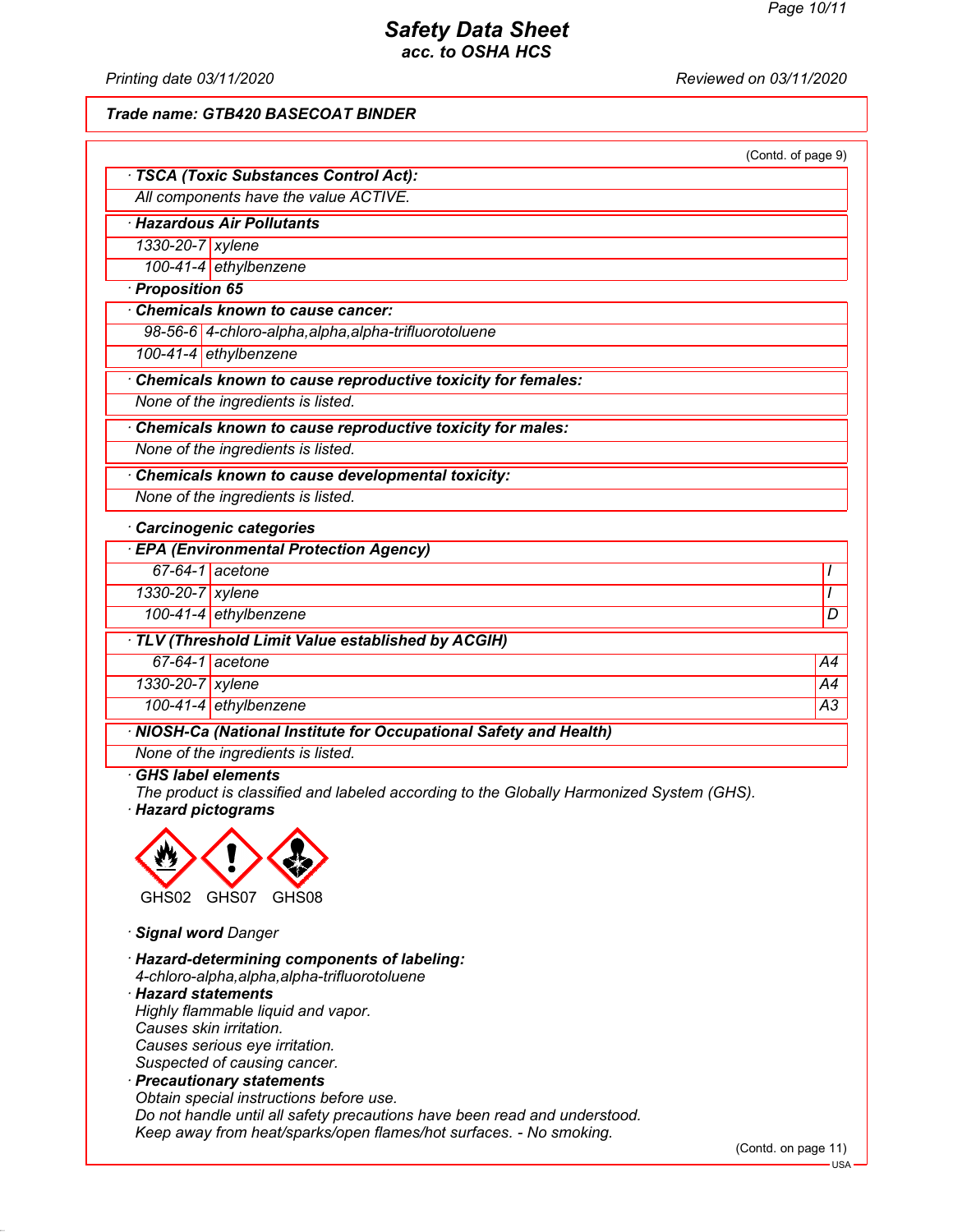*Printing date 03/11/2020 Reviewed on 03/11/2020*

*Trade name: GTB420 BASECOAT BINDER*

| (Contd. of page 9) |  |  |
|--------------------|--|--|
|                    |  |  |

| · TSCA (Toxic Substances Control Act): |
|----------------------------------------|
| All components have the value ACTIVE.  |

*· Hazardous Air Pollutants*

*1330-20-7 xylene*

*100-41-4 ethylbenzene*

*· Proposition 65*

*· Chemicals known to cause cancer:*

*98-56-6 4-chloro-alpha,alpha,alpha-trifluorotoluene*

*100-41-4 ethylbenzene*

*· Chemicals known to cause reproductive toxicity for females:*

*None of the ingredients is listed.*

*· Chemicals known to cause reproductive toxicity for males:*

*None of the ingredients is listed.*

*· Chemicals known to cause developmental toxicity:*

*None of the ingredients is listed.*

*· Carcinogenic categories*

| <b>EPA (Environmental Protection Agency)</b>                       |                              |    |  |
|--------------------------------------------------------------------|------------------------------|----|--|
|                                                                    | $67-64-1$ acetone            |    |  |
| 1330-20-7 xylene                                                   |                              |    |  |
|                                                                    | 100-41-4 ethylbenzene        | D  |  |
| TLV (Threshold Limit Value established by ACGIH)                   |                              |    |  |
|                                                                    | $\overline{67-64-1}$ acetone | A4 |  |
| 1330-20-7 xylene                                                   |                              | A4 |  |
|                                                                    | 100-41-4 ethylbenzene        | A3 |  |
| · NIOSH-Ca (National Institute for Occupational Safety and Health) |                              |    |  |

*None of the ingredients is listed.*

## *· GHS label elements*

*The product is classified and labeled according to the Globally Harmonized System (GHS). · Hazard pictograms*



*· Signal word Danger*

*· Hazard-determining components of labeling: 4-chloro-alpha,alpha,alpha-trifluorotoluene*

*· Hazard statements Highly flammable liquid and vapor. Causes skin irritation.*

*Causes serious eye irritation.*

*Suspected of causing cancer. · Precautionary statements*

*Obtain special instructions before use. Do not handle until all safety precautions have been read and understood. Keep away from heat/sparks/open flames/hot surfaces. - No smoking.*